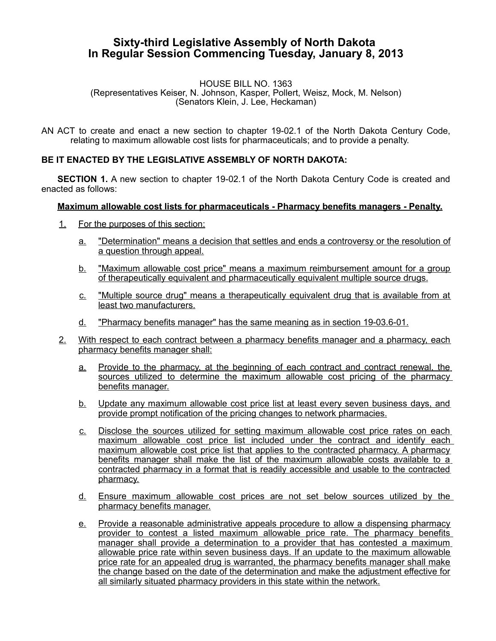## **Sixty-third Legislative Assembly of North Dakota In Regular Session Commencing Tuesday, January 8, 2013**

## HOUSE BILL NO. 1363 (Representatives Keiser, N. Johnson, Kasper, Pollert, Weisz, Mock, M. Nelson) (Senators Klein, J. Lee, Heckaman)

AN ACT to create and enact a new section to chapter 19-02.1 of the North Dakota Century Code, relating to maximum allowable cost lists for pharmaceuticals; and to provide a penalty.

## **BE IT ENACTED BY THE LEGISLATIVE ASSEMBLY OF NORTH DAKOTA:**

**SECTION 1.** A new section to chapter 19-02.1 of the North Dakota Century Code is created and enacted as follows:

## **Maximum allowable cost lists for pharmaceuticals - Pharmacy benefits managers - Penalty.**

- 1. For the purposes of this section:
	- a. "Determination" means a decision that settles and ends a controversy or the resolution of a question through appeal.
	- b. "Maximum allowable cost price" means a maximum reimbursement amount for a group of therapeutically equivalent and pharmaceutically equivalent multiple source drugs.
	- c. "Multiple source drug" means a therapeutically equivalent drug that is available from at least two manufacturers.
	- d. "Pharmacy benefits manager" has the same meaning as in section 19-03.6-01.
- 2. With respect to each contract between a pharmacy benefits manager and a pharmacy, each pharmacy benefits manager shall:
	- a. Provide to the pharmacy, at the beginning of each contract and contract renewal, the sources utilized to determine the maximum allowable cost pricing of the pharmacy benefits manager.
	- b. Update any maximum allowable cost price list at least every seven business days, and provide prompt notification of the pricing changes to network pharmacies.
	- c. Disclose the sources utilized for setting maximum allowable cost price rates on each maximum allowable cost price list included under the contract and identify each maximum allowable cost price list that applies to the contracted pharmacy. A pharmacy benefits manager shall make the list of the maximum allowable costs available to a contracted pharmacy in a format that is readily accessible and usable to the contracted pharmacy.
	- d. Ensure maximum allowable cost prices are not set below sources utilized by the pharmacy benefits manager.
	- e. Provide a reasonable administrative appeals procedure to allow a dispensing pharmacy provider to contest a listed maximum allowable price rate. The pharmacy benefits manager shall provide a determination to a provider that has contested a maximum allowable price rate within seven business days. If an update to the maximum allowable price rate for an appealed drug is warranted, the pharmacy benefits manager shall make the change based on the date of the determination and make the adjustment effective for all similarly situated pharmacy providers in this state within the network.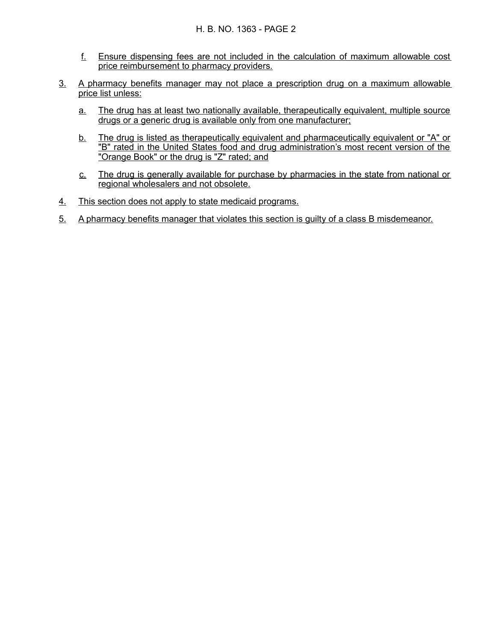- f. Ensure dispensing fees are not included in the calculation of maximum allowable cost price reimbursement to pharmacy providers.
- 3. A pharmacy benefits manager may not place a prescription drug on a maximum allowable price list unless:
	- a. The drug has at least two nationally available, therapeutically equivalent, multiple source drugs or a generic drug is available only from one manufacturer;
	- b. The drug is listed as therapeutically equivalent and pharmaceutically equivalent or "A" or "B" rated in the United States food and drug administration's most recent version of the "Orange Book" or the drug is "Z" rated; and
	- c. The drug is generally available for purchase by pharmacies in the state from national or regional wholesalers and not obsolete.
- 4. This section does not apply to state medicaid programs.
- 5. A pharmacy benefits manager that violates this section is guilty of a class B misdemeanor.